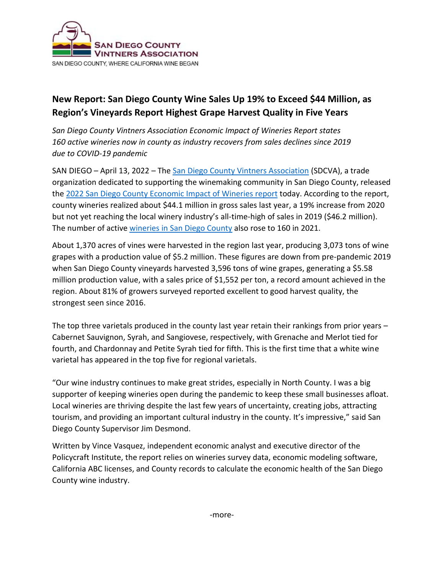

## **New Report: San Diego County Wine Sales Up 19% to Exceed \$44 Million, as Region's Vineyards Report Highest Grape Harvest Quality in Five Years**

*San Diego County Vintners Association Economic Impact of Wineries Report states 160 active wineries now in county as industry recovers from sales declines since 2019 due to COVID-19 pandemic* 

SAN DIEGO – April 13, 2022 – The [San Diego County Vintners Association](http://sandiegowineries.org/) (SDCVA), a trade organization dedicated to supporting the winemaking community in San Diego County, released the 2022 [San Diego County Economic Impact of Wineries](https://sandiegowineries.org/wp-content/uploads/2022/04/SDCVA-Economic-Report-2022.pdf) report today. According to the report, county wineries realized about \$44.1 million in gross sales last year, a 19% increase from 2020 but not yet reaching the local winery industry's all-time-high of sales in 2019 (\$46.2 million). The number of active wineries [in San Diego County](https://sandiegowineries.org/wineries) also rose to 160 in 2021.

About 1,370 acres of vines were harvested in the region last year, producing 3,073 tons of wine grapes with a production value of \$5.2 million. These figures are down from pre-pandemic 2019 when San Diego County vineyards harvested 3,596 tons of wine grapes, generating a \$5.58 million production value, with a sales price of \$1,552 per ton, a record amount achieved in the region. About 81% of growers surveyed reported excellent to good harvest quality, the strongest seen since 2016.

The top three varietals produced in the county last year retain their rankings from prior years – Cabernet Sauvignon, Syrah, and Sangiovese, respectively, with Grenache and Merlot tied for fourth, and Chardonnay and Petite Syrah tied for fifth. This is the first time that a white wine varietal has appeared in the top five for regional varietals.

"Our wine industry continues to make great strides, especially in North County. I was a big supporter of keeping wineries open during the pandemic to keep these small businesses afloat. Local wineries are thriving despite the last few years of uncertainty, creating jobs, attracting tourism, and providing an important cultural industry in the county. It's impressive," said San Diego County Supervisor Jim Desmond.

Written by Vince Vasquez, independent economic analyst and executive director of the Policycraft Institute, the report relies on wineries survey data, economic modeling software, California ABC licenses, and County records to calculate the economic health of the San Diego County wine industry.